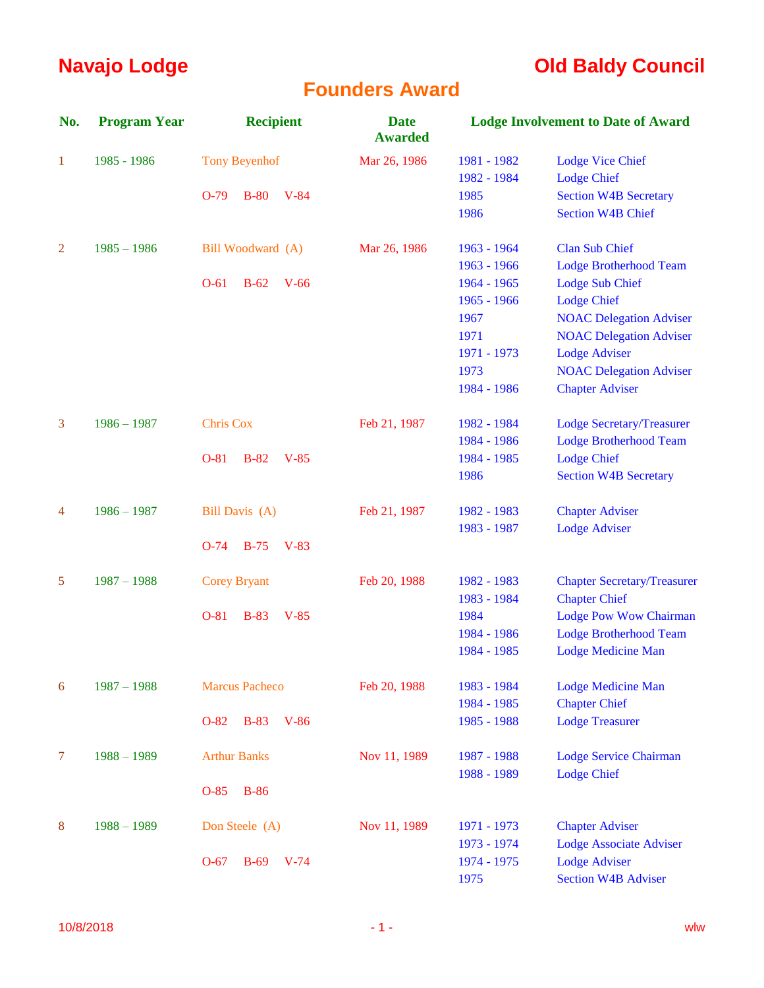## **Founders Award**

### **No. Program Year Recipient Date Awarded Lodge Involvement to Date of Award** 1 1985 - 1986 Tony Beyenhof O-79 B-80 V-84 Mar 26, 1986 1981 - 1982 Lodge Vice Chief 1982 - 1984 Lodge Chief 1985 Section W4B Secretary 1986 Section W4B Chief 2 1985 – 1986 Bill Woodward (A) O-61 B-62 V-66 Mar 26, 1986 1963 - 1964 Clan Sub Chief 1963 - 1966 Lodge Brotherhood Team 1964 - 1965 Lodge Sub Chief 1965 - 1966 Lodge Chief 1967 NOAC Delegation Adviser 1971 NOAC Delegation Adviser 1971 - 1973 Lodge Adviser 1973 NOAC Delegation Adviser 1984 - 1986 Chapter Adviser 3 1986 – 1987 Chris Cox O-81 B-82 V-85 Feb 21, 1987 1982 - 1984 Lodge Secretary/Treasurer 1984 - 1986 Lodge Brotherhood Team 1984 - 1985 Lodge Chief 1986 Section W4B Secretary 4 1986 – 1987 Bill Davis (A) O-74 B-75 V-83 Feb 21, 1987 1982 - 1983 Chapter Adviser 1983 - 1987 Lodge Adviser 5 1987 – 1988 Corey Bryant O-81 B-83 V-85 Feb 20, 1988 1982 - 1983 Chapter Secretary/Treasurer 1983 - 1984 Chapter Chief 1984 Lodge Pow Wow Chairman 1984 - 1986 Lodge Brotherhood Team 1984 - 1985 Lodge Medicine Man 6 1987 – 1988 Marcus Pacheco O-82 B-83 V-86 Feb 20, 1988 1983 - 1984 Lodge Medicine Man 1984 - 1985 Chapter Chief 1985 - 1988 Lodge Treasurer 7 1988 – 1989 Arthur Banks O-85 B-86 Nov 11, 1989 1987 - 1988 Lodge Service Chairman 1988 - 1989 Lodge Chief 8 1988 – 1989 Don Steele (A) O-67 B-69 V-74 Nov 11, 1989 1971 - 1973 Chapter Adviser 1973 - 1974 Lodge Associate Adviser 1974 - 1975 Lodge Adviser

1975 Section W4B Adviser

# **Navajo Lodge Old Baldy Council**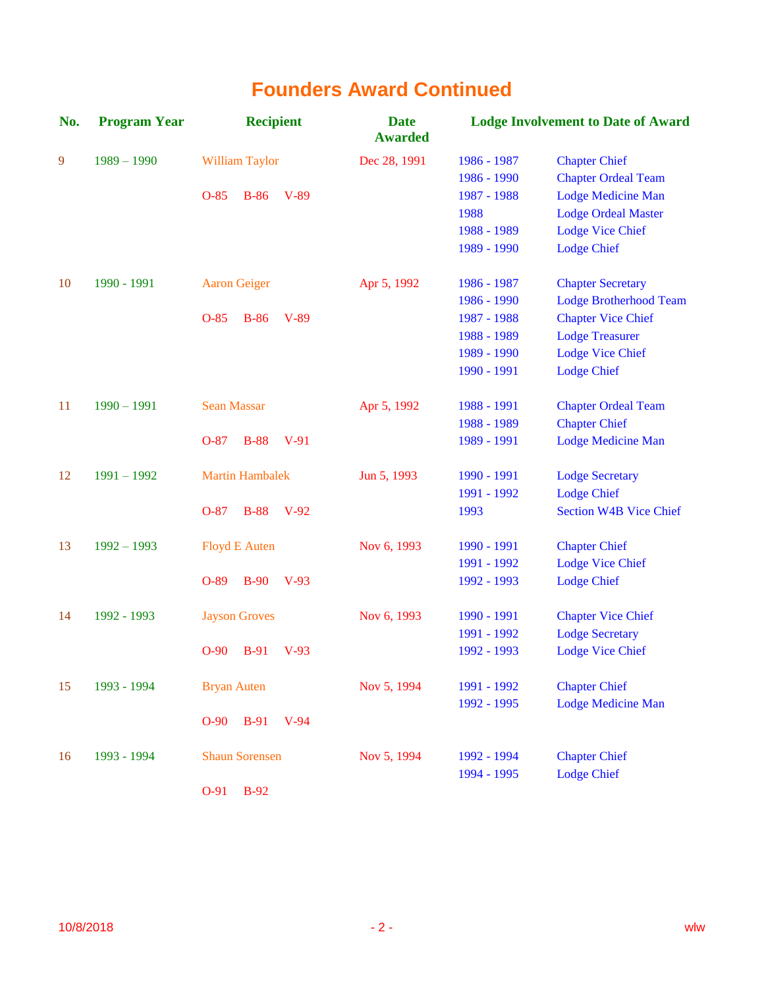# **Founders Award Continued**

| No.<br>9 | <b>Program Year</b><br>$1989 - 1990$ | <b>Recipient</b>           | <b>Date</b><br><b>Awarded</b><br>Dec 28, 1991 | <b>Lodge Involvement to Date of Award</b> |                               |
|----------|--------------------------------------|----------------------------|-----------------------------------------------|-------------------------------------------|-------------------------------|
|          |                                      | <b>William Taylor</b>      |                                               | 1986 - 1987                               | <b>Chapter Chief</b>          |
|          |                                      |                            |                                               | 1986 - 1990                               | <b>Chapter Ordeal Team</b>    |
|          |                                      | $O-85$<br>$V-89$<br>$B-86$ |                                               | 1987 - 1988                               | <b>Lodge Medicine Man</b>     |
|          |                                      |                            |                                               | 1988                                      | <b>Lodge Ordeal Master</b>    |
|          |                                      |                            |                                               | 1988 - 1989                               | <b>Lodge Vice Chief</b>       |
|          |                                      |                            |                                               | 1989 - 1990                               | <b>Lodge Chief</b>            |
| 10       | 1990 - 1991                          | <b>Aaron Geiger</b>        | Apr 5, 1992                                   | 1986 - 1987                               | <b>Chapter Secretary</b>      |
|          |                                      |                            |                                               | 1986 - 1990                               | <b>Lodge Brotherhood Team</b> |
|          |                                      | $O-85$<br>$B-86$<br>$V-89$ |                                               | 1987 - 1988                               | <b>Chapter Vice Chief</b>     |
|          |                                      |                            |                                               | 1988 - 1989                               | <b>Lodge Treasurer</b>        |
|          |                                      |                            |                                               | 1989 - 1990                               | <b>Lodge Vice Chief</b>       |
|          |                                      |                            |                                               | 1990 - 1991                               | <b>Lodge Chief</b>            |
| 11       | $1990 - 1991$                        | <b>Sean Massar</b>         | Apr 5, 1992                                   | 1988 - 1991                               | <b>Chapter Ordeal Team</b>    |
|          |                                      |                            |                                               | 1988 - 1989                               | <b>Chapter Chief</b>          |
|          |                                      | $O-87$<br>$B-88$<br>$V-91$ |                                               | 1989 - 1991                               | <b>Lodge Medicine Man</b>     |
| 12       | $1991 - 1992$                        | <b>Martin Hambalek</b>     | Jun 5, 1993                                   | 1990 - 1991                               | <b>Lodge Secretary</b>        |
|          |                                      |                            |                                               | 1991 - 1992                               | <b>Lodge Chief</b>            |
|          |                                      | $O-87$<br>$B-88$<br>$V-92$ |                                               | 1993                                      | <b>Section W4B Vice Chief</b> |
| 13       | $1992 - 1993$                        | <b>Floyd E Auten</b>       | Nov 6, 1993                                   | 1990 - 1991                               | <b>Chapter Chief</b>          |
|          |                                      |                            |                                               | 1991 - 1992                               | <b>Lodge Vice Chief</b>       |
|          |                                      | O-89<br>$B-90$<br>$V-93$   |                                               | 1992 - 1993                               | <b>Lodge Chief</b>            |
| 14       | 1992 - 1993                          | <b>Jayson Groves</b>       | Nov 6, 1993                                   | 1990 - 1991                               | <b>Chapter Vice Chief</b>     |
|          |                                      |                            |                                               | 1991 - 1992                               | <b>Lodge Secretary</b>        |
|          |                                      | $O-90$<br>$B-91$<br>$V-93$ |                                               | 1992 - 1993                               | <b>Lodge Vice Chief</b>       |
| 15       | 1993 - 1994                          | <b>Bryan Auten</b>         | Nov 5, 1994                                   | 1991 - 1992                               | <b>Chapter Chief</b>          |
|          |                                      |                            |                                               | 1992 - 1995                               | <b>Lodge Medicine Man</b>     |
|          |                                      | $O-90$<br>$B-91$<br>$V-94$ |                                               |                                           |                               |
| 16       | 1993 - 1994                          | <b>Shaun Sorensen</b>      | Nov 5, 1994                                   | 1992 - 1994                               | <b>Chapter Chief</b>          |
|          |                                      |                            |                                               | 1994 - 1995                               | <b>Lodge Chief</b>            |
|          |                                      | $O-91$<br>$B-92$           |                                               |                                           |                               |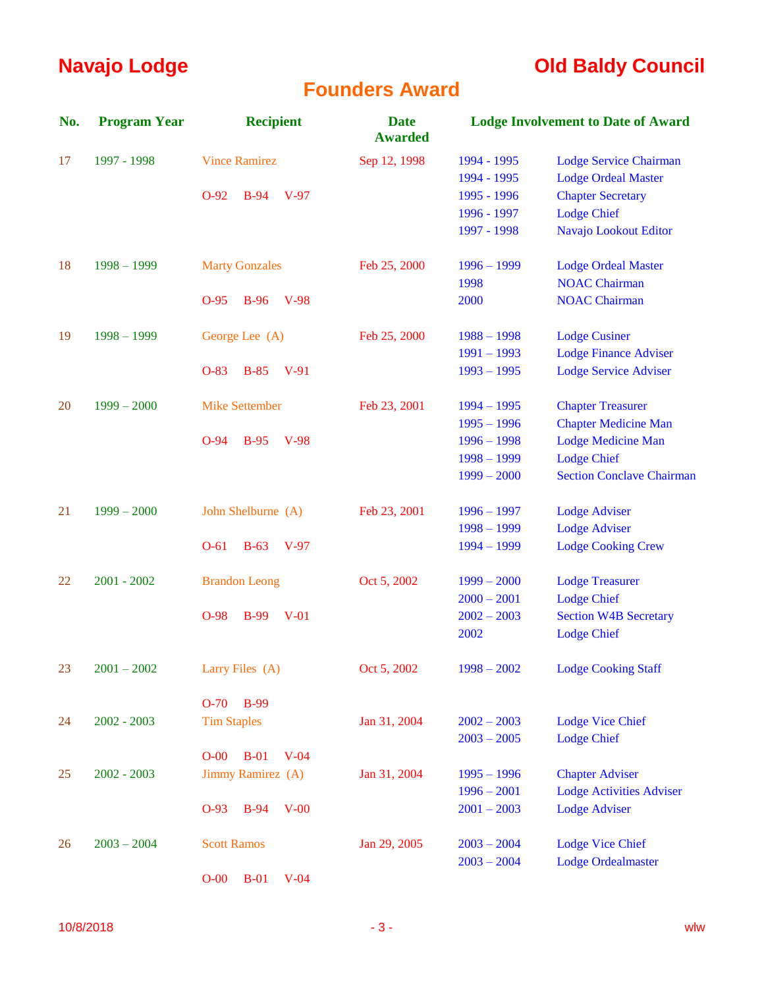## **Founders Award**

#### **No. Program Year Recipient Date Awarded Lodge Involvement to Date of Award** 17 1997 - 1998 Vince Ramirez O-92 B-94 V-97 Sep 12, 1998 1994 - 1995 Lodge Service Chairman 1994 - 1995 Lodge Ordeal Master 1995 - 1996 Chapter Secretary 1996 - 1997 Lodge Chief 1997 - 1998 Navajo Lookout Editor 18 1998 – 1999 Marty Gonzales O-95 B-96 V-98 Feb 25, 2000 1996 – 1999 Lodge Ordeal Master 1998 NOAC Chairman 2000 NOAC Chairman 19 1998 – 1999 George Lee (A) O-83 B-85 V-91 Feb 25, 2000 1988 – 1998 Lodge Cusiner 1991 – 1993 Lodge Finance Adviser 1993 – 1995 Lodge Service Adviser 20 1999 – 2000 Mike Settember O-94 B-95 V-98 Feb 23, 2001 1994 – 1995 Chapter Treasurer 1995 – 1996 Chapter Medicine Man 1996 – 1998 Lodge Medicine Man 1998 – 1999 Lodge Chief 1999 – 2000 Section Conclave Chairman 21 1999 – 2000 John Shelburne (A) O-61 B-63 V-97 Feb 23, 2001 1996 – 1997 Lodge Adviser 1998 – 1999 Lodge Adviser 1994 – 1999 Lodge Cooking Crew 22 2001 - 2002 Brandon Leong O-98 B-99 V-01 Oct 5, 2002 1999 – 2000 Lodge Treasurer 2000 – 2001 Lodge Chief 2002 – 2003 Section W4B Secretary 2002 Lodge Chief 23 2001 – 2002 Larry Files (A) O-70 B-99 Oct 5, 2002 1998 – 2002 Lodge Cooking Staff 24 2002 - 2003 Tim Staples O-00 B-01 V-04 Jan 31, 2004 2002 – 2003 Lodge Vice Chief 2003 – 2005 Lodge Chief 25 2002 - 2003 Jimmy Ramirez (A) O-93 B-94 V-00 Jan 31, 2004 1995 – 1996 Chapter Adviser 1996 – 2001 Lodge Activities Adviser 2001 – 2003 Lodge Adviser 26 2003 – 2004 Scott Ramos O-00 B-01 V-04 Jan 29, 2005 2003 – 2004 Lodge Vice Chief 2003 – 2004 Lodge Ordealmaster

# **Navajo Lodge Old Baldy Council**